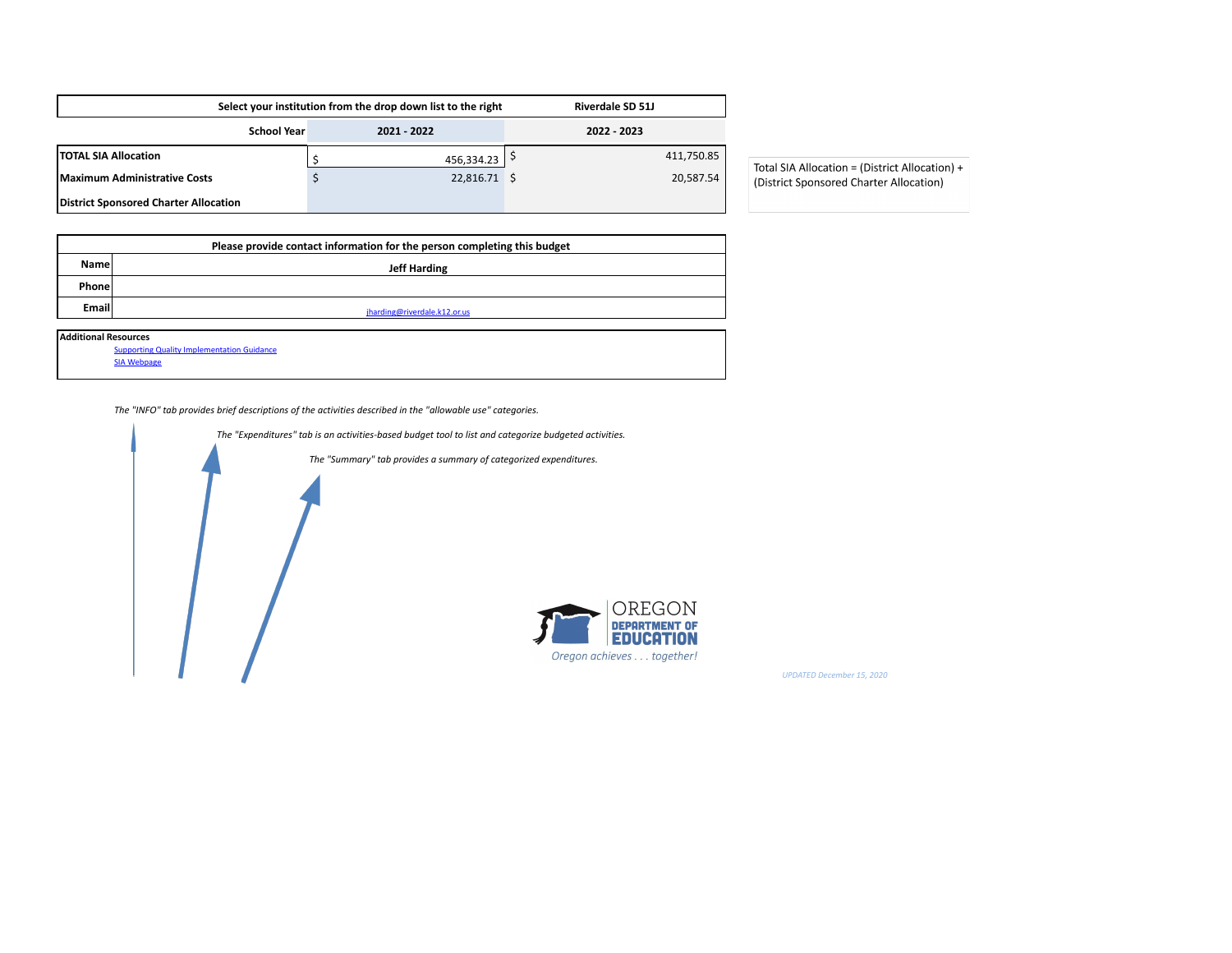|                                       |                    | Select your institution from the drop down list to the right | <b>Riverdale SD 51J</b> |                                  |
|---------------------------------------|--------------------|--------------------------------------------------------------|-------------------------|----------------------------------|
|                                       | <b>School Year</b> | 2021 - 2022                                                  | 2022 - 2023             |                                  |
| <b>TOTAL SIA Allocation</b>           |                    | 456,334.23   $\frac{5}{7}$                                   | 411,750.85              | Total SIA Allocation = (District |
| Maximum Administrative Costs          |                    | 22,816.71 \$                                                 | 20,587.54               | (District Sponsored Charter A    |
| District Sponsored Charter Allocation |                    |                                                              |                         |                                  |

Allocation) + Allocation)

|             | Please provide contact information for the person completing this budget |  |  |  |  |  |  |  |  |
|-------------|--------------------------------------------------------------------------|--|--|--|--|--|--|--|--|
| <b>Name</b> | <b>Jeff Harding</b>                                                      |  |  |  |  |  |  |  |  |
| Phone       |                                                                          |  |  |  |  |  |  |  |  |
| Email       | jharding@riverdale.k12.or.us                                             |  |  |  |  |  |  |  |  |
|             |                                                                          |  |  |  |  |  |  |  |  |
|             | <b>Additional Resources</b>                                              |  |  |  |  |  |  |  |  |
|             | <b>Supporting Quality Implementation Guidance</b>                        |  |  |  |  |  |  |  |  |

[SIA Webpage](https://www.oregon.gov/ode/StudentSuccess/Documents/SIAsupportingqualityimplementation.pdf)

*The "INFO" tab provides brief descriptions of the activities described in the "allowable use" categories.*



*UPDATED December 15, 2020*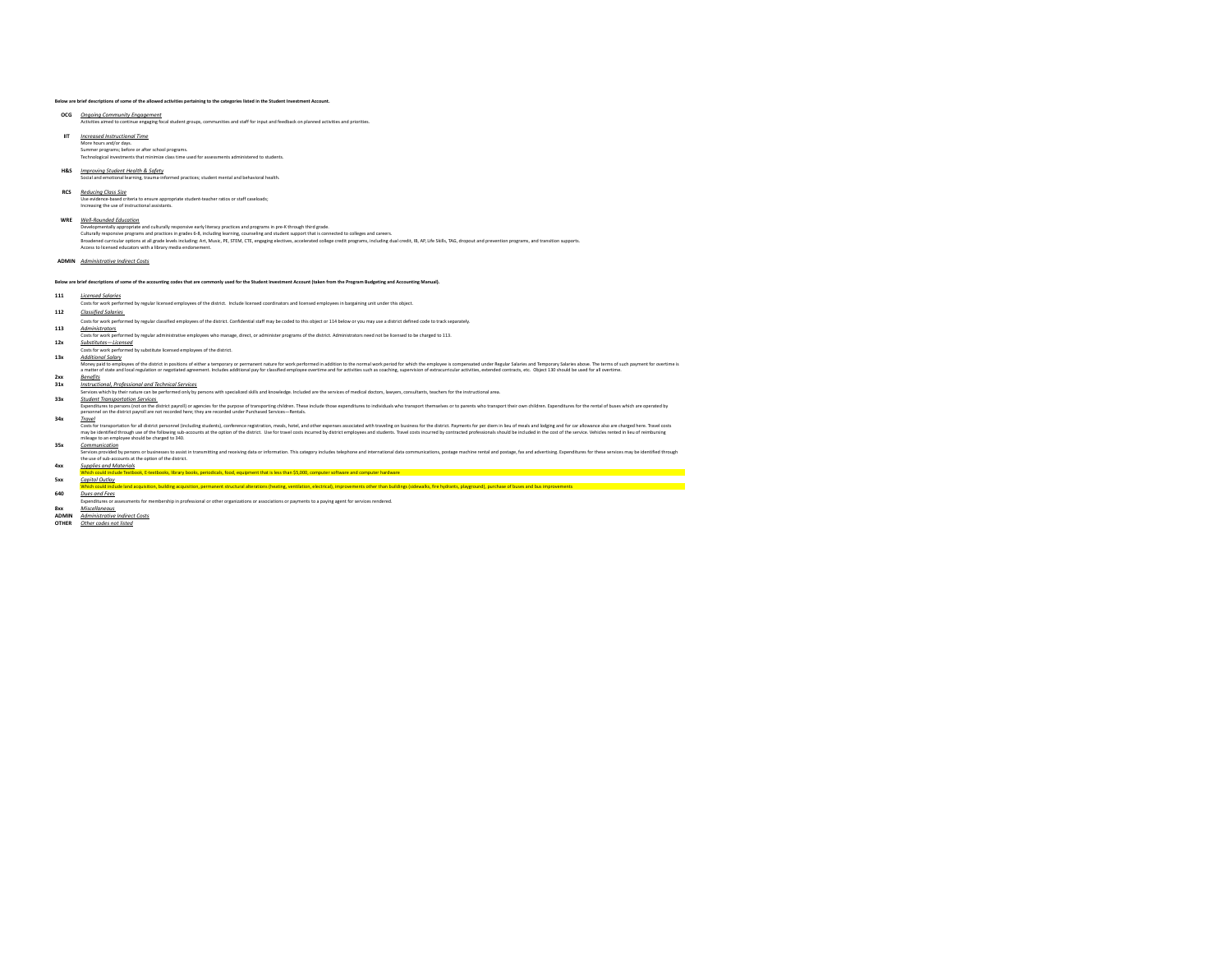## **Below are brief descriptions of some of the allowed activities pertaining to the categories listed in the Student Investment Account.**

**OCG** *Ongoing Community Engagement*<br>Activities aimed to continue engaging focal student groups, communities and staff for input and feedback on planned activities and priorities.

- **IIT** *Increased Instructional Time* More hours and/or days.<br>Summer programs; before or after school programs.<br>Technological investments that minimize class time used for assessments administered to students.
- 

### **H&S** *Improving Student Health & Safety* med practices; student mental and behavioral health.

# **RCS** *Reducing Class Size*

Use evidence-based criteria to ensure appropriate student-teacher ratios or staff caseloads; Increasing the use of instructional assistants.

### **WRE** *Well-Rounded Education*

Develomentahy appropriate and culturally responsive and finency products and propriate in pre- throught third gade.<br>Culturally responsive programs and practice in grade is a state of the state of the state of the state of

### **ADMIN** *Administrative Indirect Costs*

**Below are brief descriptions of some of the accounting codes that are commonly used for the Student Investment Account (taken from the Program Budgeting and Accounting Manual).**

## **111** *Licensed Salaries*

Costs for work performed by regular licensed employees of the district. Include licensed coordinators and licensed employees in bargaining unit under this object.

# **112** *Classified Salaries*

Costs for work performed by regular classified employees of the district. Confidential staff may be coded to this object or 114 below or you may use a district defined code to track separately.

# **113** *Administrators*

xmed by regular administrative employees who manage, direct, or administer programs of the district. Administrators need not be licensed to be charged to 113.

# **12x** *Substitutes—Licensed* Costs for work performed by substitute licensed employees of the district.

**13x** *Additional Salary* 00000001<br>Imepalo censions of the district in positions of either a temporary or permanent nature for work performed in addition to the nermal work period for which the employee is compensated under Regular Staries and Temp

# **Dox**<br>http://therage.org/information/information/information/information/information/information/information/informatio<br>Services which by their nature can be performed only by persons with specialized skills and knowledge.

Student Transportation Services<br>Expenditures to person (act on the district payrol) or agencies for the purpose of transporting children. These include those expenditures to individuals who transport themselves or to paren

Tone!<br>Costs for transportation for all district personnel (including students), conference registration, mean, hotel, and other expenses associated with traveling on business for the district. Payments for per demin lies o

# **35x** *Communication*

Service provided by persons or businesse to assist in transmitting and receiving data or information. This category includes telephone and international data communications, postage machine rental and postage, fax and adve

**4xx** *Supplies and Materials* Which could include Textbook, E-textbooks, library books, periodicals, food, equipment that is less than \$5,000, computer software and computer hardware **5xx** *Capitol Outlay*

nd acquisition, building acquisition, permanent structural alterations (Pheting, ventilation, electrical), improvements other than buildings (sidewalks, fire hydrants, playground), purchase of buses and bus improvements

**640** *Dues and Fees* Expenditures or assessments for membership in professional or other organizations or associations or payments to a paying agent for services rendered. **8xx** *Miscellaneous* 

**ADMIN** *<u>Administrative Indirect Costs</u>*<br>
OTHER *Other codes not listed* 

**OTHER** *Other codes not listed*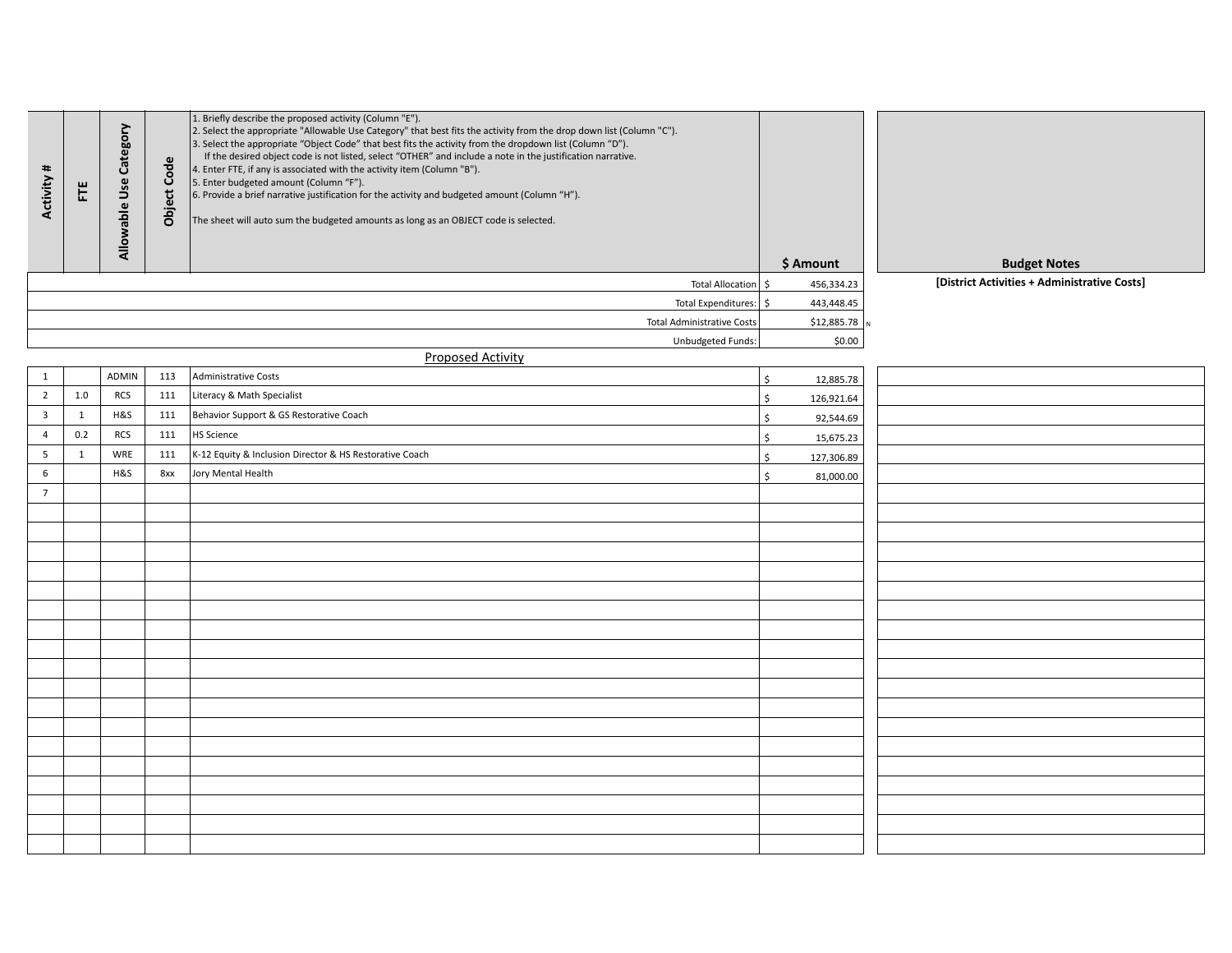| Activity #     | Ë            | Allowable Use Category | Code<br><b>Object</b> | 1. Briefly describe the proposed activity (Column "E").<br>2. Select the appropriate "Allowable Use Category" that best fits the activity from the drop down list (Column "C").<br>3. Select the appropriate "Object Code" that best fits the activity from the dropdown list (Column "D").<br>If the desired object code is not listed, select "OTHER" and include a note in the justification narrative.<br>4. Enter FTE, if any is associated with the activity item (Column "B").<br>5. Enter budgeted amount (Column "F").<br>6. Provide a brief narrative justification for the activity and budgeted amount (Column "H").<br>The sheet will auto sum the budgeted amounts as long as an OBJECT code is selected. |                           | \$ Amount      | <b>Budget Notes</b>                          |
|----------------|--------------|------------------------|-----------------------|-------------------------------------------------------------------------------------------------------------------------------------------------------------------------------------------------------------------------------------------------------------------------------------------------------------------------------------------------------------------------------------------------------------------------------------------------------------------------------------------------------------------------------------------------------------------------------------------------------------------------------------------------------------------------------------------------------------------------|---------------------------|----------------|----------------------------------------------|
|                |              |                        |                       | Total Allocation \$                                                                                                                                                                                                                                                                                                                                                                                                                                                                                                                                                                                                                                                                                                     |                           | 456,334.23     | [District Activities + Administrative Costs] |
|                |              |                        |                       | Total Expenditures: \$                                                                                                                                                                                                                                                                                                                                                                                                                                                                                                                                                                                                                                                                                                  |                           | 443,448.45     |                                              |
|                |              |                        |                       | <b>Total Administrative Costs</b>                                                                                                                                                                                                                                                                                                                                                                                                                                                                                                                                                                                                                                                                                       |                           | $$12,885.78$ N |                                              |
|                |              |                        |                       | Unbudgeted Funds:                                                                                                                                                                                                                                                                                                                                                                                                                                                                                                                                                                                                                                                                                                       |                           | \$0.00         |                                              |
|                |              |                        |                       | <b>Proposed Activity</b>                                                                                                                                                                                                                                                                                                                                                                                                                                                                                                                                                                                                                                                                                                |                           |                |                                              |
| $\mathbf{1}$   |              | <b>ADMIN</b>           | 113                   | Administrative Costs                                                                                                                                                                                                                                                                                                                                                                                                                                                                                                                                                                                                                                                                                                    | $\ddot{\mathsf{S}}$       | 12,885.78      |                                              |
| $\overline{2}$ | 1.0          | <b>RCS</b>             | 111                   | Literacy & Math Specialist                                                                                                                                                                                                                                                                                                                                                                                                                                                                                                                                                                                                                                                                                              | $\boldsymbol{\mathsf{S}}$ | 126,921.64     |                                              |
| $\overline{3}$ | $\mathbf{1}$ | H&S                    | 111                   | Behavior Support & GS Restorative Coach                                                                                                                                                                                                                                                                                                                                                                                                                                                                                                                                                                                                                                                                                 | $\mathsf{\hat{S}}$        | 92,544.69      |                                              |
| $\overline{4}$ | 0.2          | <b>RCS</b>             | 111                   | HS Science                                                                                                                                                                                                                                                                                                                                                                                                                                                                                                                                                                                                                                                                                                              | $\mathsf{\hat{S}}$        | 15,675.23      |                                              |
| 5              | $\mathbf{1}$ | WRE                    | 111                   | K-12 Equity & Inclusion Director & HS Restorative Coach                                                                                                                                                                                                                                                                                                                                                                                                                                                                                                                                                                                                                                                                 | $\zeta$                   | 127,306.89     |                                              |
| 6              |              | H&S                    | 8xx                   | Jory Mental Health                                                                                                                                                                                                                                                                                                                                                                                                                                                                                                                                                                                                                                                                                                      | $\zeta$                   | 81,000.00      |                                              |
| $\overline{7}$ |              |                        |                       |                                                                                                                                                                                                                                                                                                                                                                                                                                                                                                                                                                                                                                                                                                                         |                           |                |                                              |
|                |              |                        |                       |                                                                                                                                                                                                                                                                                                                                                                                                                                                                                                                                                                                                                                                                                                                         |                           |                |                                              |
|                |              |                        |                       |                                                                                                                                                                                                                                                                                                                                                                                                                                                                                                                                                                                                                                                                                                                         |                           |                |                                              |
|                |              |                        |                       |                                                                                                                                                                                                                                                                                                                                                                                                                                                                                                                                                                                                                                                                                                                         |                           |                |                                              |
|                |              |                        |                       |                                                                                                                                                                                                                                                                                                                                                                                                                                                                                                                                                                                                                                                                                                                         |                           |                |                                              |
|                |              |                        |                       |                                                                                                                                                                                                                                                                                                                                                                                                                                                                                                                                                                                                                                                                                                                         |                           |                |                                              |
|                |              |                        |                       |                                                                                                                                                                                                                                                                                                                                                                                                                                                                                                                                                                                                                                                                                                                         |                           |                |                                              |
|                |              |                        |                       |                                                                                                                                                                                                                                                                                                                                                                                                                                                                                                                                                                                                                                                                                                                         |                           |                |                                              |
|                |              |                        |                       |                                                                                                                                                                                                                                                                                                                                                                                                                                                                                                                                                                                                                                                                                                                         |                           |                |                                              |
|                |              |                        |                       |                                                                                                                                                                                                                                                                                                                                                                                                                                                                                                                                                                                                                                                                                                                         |                           |                |                                              |
|                |              |                        |                       |                                                                                                                                                                                                                                                                                                                                                                                                                                                                                                                                                                                                                                                                                                                         |                           |                |                                              |
|                |              |                        |                       |                                                                                                                                                                                                                                                                                                                                                                                                                                                                                                                                                                                                                                                                                                                         |                           |                |                                              |
|                |              |                        |                       |                                                                                                                                                                                                                                                                                                                                                                                                                                                                                                                                                                                                                                                                                                                         |                           |                |                                              |
|                |              |                        |                       |                                                                                                                                                                                                                                                                                                                                                                                                                                                                                                                                                                                                                                                                                                                         |                           |                |                                              |
|                |              |                        |                       |                                                                                                                                                                                                                                                                                                                                                                                                                                                                                                                                                                                                                                                                                                                         |                           |                |                                              |
|                |              |                        |                       |                                                                                                                                                                                                                                                                                                                                                                                                                                                                                                                                                                                                                                                                                                                         |                           |                |                                              |
|                |              |                        |                       |                                                                                                                                                                                                                                                                                                                                                                                                                                                                                                                                                                                                                                                                                                                         |                           |                |                                              |
|                |              |                        |                       |                                                                                                                                                                                                                                                                                                                                                                                                                                                                                                                                                                                                                                                                                                                         |                           |                |                                              |
|                |              |                        |                       |                                                                                                                                                                                                                                                                                                                                                                                                                                                                                                                                                                                                                                                                                                                         |                           |                |                                              |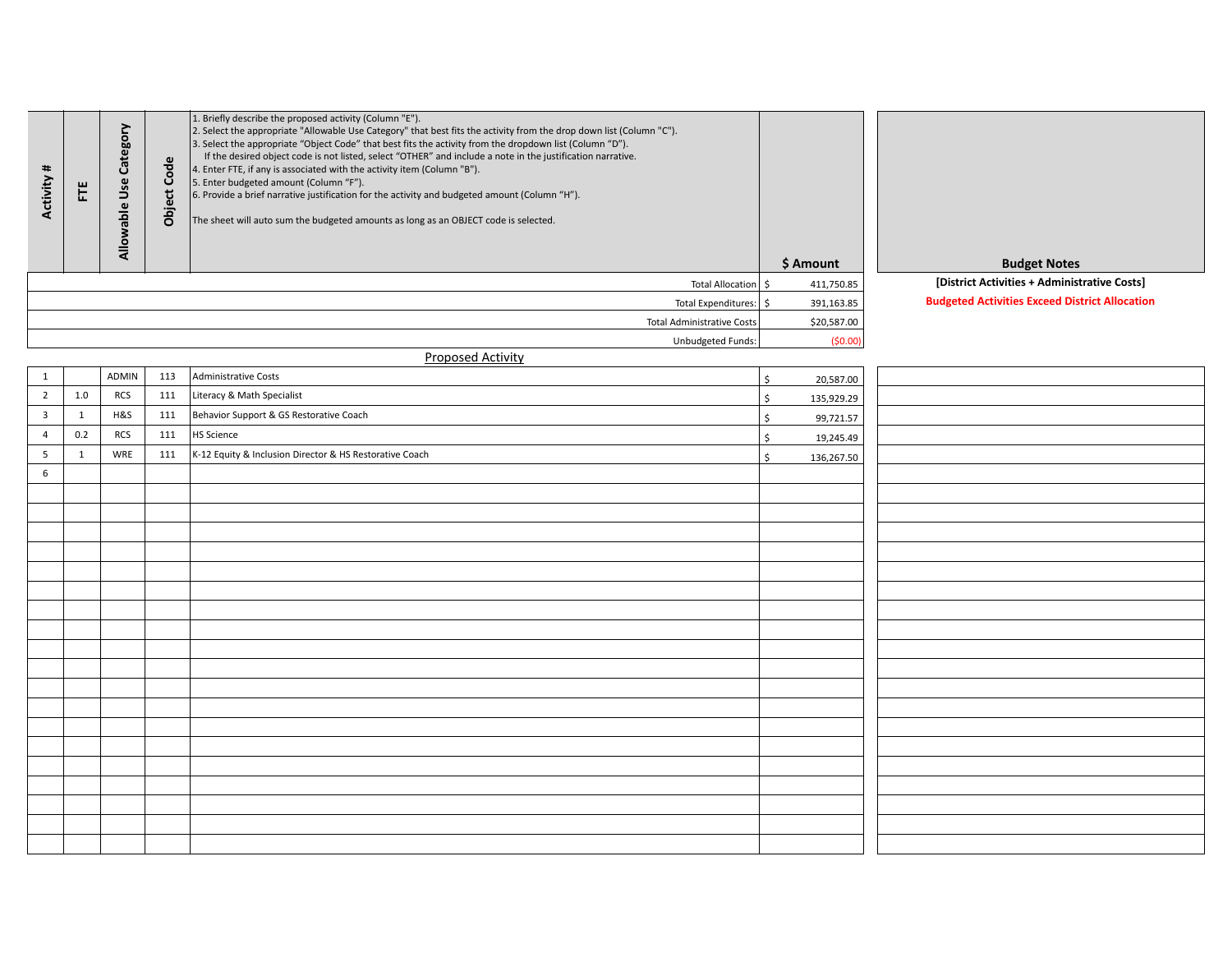| Activity #     | $\overline{\text{E}}$ | Allowable Use Category | Code<br>Object | 1. Briefly describe the proposed activity (Column "E").<br>2. Select the appropriate "Allowable Use Category" that best fits the activity from the drop down list (Column "C").<br>3. Select the appropriate "Object Code" that best fits the activity from the dropdown list (Column "D").<br>If the desired object code is not listed, select "OTHER" and include a note in the justification narrative.<br>4. Enter FTE, if any is associated with the activity item (Column "B").<br>5. Enter budgeted amount (Column "F").<br>6. Provide a brief narrative justification for the activity and budgeted amount (Column "H").<br>The sheet will auto sum the budgeted amounts as long as an OBJECT code is selected. |                    | \$ Amount   | <b>Budget Notes</b>                                   |
|----------------|-----------------------|------------------------|----------------|-------------------------------------------------------------------------------------------------------------------------------------------------------------------------------------------------------------------------------------------------------------------------------------------------------------------------------------------------------------------------------------------------------------------------------------------------------------------------------------------------------------------------------------------------------------------------------------------------------------------------------------------------------------------------------------------------------------------------|--------------------|-------------|-------------------------------------------------------|
|                |                       |                        |                | Total Allocation                                                                                                                                                                                                                                                                                                                                                                                                                                                                                                                                                                                                                                                                                                        | $\mathsf{S}$       | 411,750.85  | [District Activities + Administrative Costs]          |
|                |                       |                        |                | Total Expenditures: \$                                                                                                                                                                                                                                                                                                                                                                                                                                                                                                                                                                                                                                                                                                  |                    | 391,163.85  | <b>Budgeted Activities Exceed District Allocation</b> |
|                |                       |                        |                | Total Administrative Costs                                                                                                                                                                                                                                                                                                                                                                                                                                                                                                                                                                                                                                                                                              |                    | \$20,587.00 |                                                       |
|                |                       |                        |                | Unbudgeted Funds:                                                                                                                                                                                                                                                                                                                                                                                                                                                                                                                                                                                                                                                                                                       |                    | (50.00)     |                                                       |
|                |                       |                        |                | <b>Proposed Activity</b>                                                                                                                                                                                                                                                                                                                                                                                                                                                                                                                                                                                                                                                                                                |                    |             |                                                       |
| $\mathbf{1}$   |                       | ADMIN                  | 113            | Administrative Costs                                                                                                                                                                                                                                                                                                                                                                                                                                                                                                                                                                                                                                                                                                    | \$                 | 20,587.00   |                                                       |
| $\overline{2}$ | 1.0                   | <b>RCS</b>             | 111            | Literacy & Math Specialist                                                                                                                                                                                                                                                                                                                                                                                                                                                                                                                                                                                                                                                                                              | $\mathsf{\hat{S}}$ | 135,929.29  |                                                       |
| 3              | $\mathbf{1}$          | H&S                    | 111            | Behavior Support & GS Restorative Coach                                                                                                                                                                                                                                                                                                                                                                                                                                                                                                                                                                                                                                                                                 | \$                 | 99,721.57   |                                                       |
| $\overline{4}$ | 0.2                   | RCS                    | 111            | HS Science                                                                                                                                                                                                                                                                                                                                                                                                                                                                                                                                                                                                                                                                                                              | \$                 | 19,245.49   |                                                       |
| 5              | $\mathbf{1}$          | WRE                    | 111            | K-12 Equity & Inclusion Director & HS Restorative Coach                                                                                                                                                                                                                                                                                                                                                                                                                                                                                                                                                                                                                                                                 | $\mathsf{\hat{S}}$ | 136,267.50  |                                                       |
| 6              |                       |                        |                |                                                                                                                                                                                                                                                                                                                                                                                                                                                                                                                                                                                                                                                                                                                         |                    |             |                                                       |
|                |                       |                        |                |                                                                                                                                                                                                                                                                                                                                                                                                                                                                                                                                                                                                                                                                                                                         |                    |             |                                                       |
|                |                       |                        |                |                                                                                                                                                                                                                                                                                                                                                                                                                                                                                                                                                                                                                                                                                                                         |                    |             |                                                       |
|                |                       |                        |                |                                                                                                                                                                                                                                                                                                                                                                                                                                                                                                                                                                                                                                                                                                                         |                    |             |                                                       |
|                |                       |                        |                |                                                                                                                                                                                                                                                                                                                                                                                                                                                                                                                                                                                                                                                                                                                         |                    |             |                                                       |
|                |                       |                        |                |                                                                                                                                                                                                                                                                                                                                                                                                                                                                                                                                                                                                                                                                                                                         |                    |             |                                                       |
|                |                       |                        |                |                                                                                                                                                                                                                                                                                                                                                                                                                                                                                                                                                                                                                                                                                                                         |                    |             |                                                       |
|                |                       |                        |                |                                                                                                                                                                                                                                                                                                                                                                                                                                                                                                                                                                                                                                                                                                                         |                    |             |                                                       |
|                |                       |                        |                |                                                                                                                                                                                                                                                                                                                                                                                                                                                                                                                                                                                                                                                                                                                         |                    |             |                                                       |
|                |                       |                        |                |                                                                                                                                                                                                                                                                                                                                                                                                                                                                                                                                                                                                                                                                                                                         |                    |             |                                                       |
|                |                       |                        |                |                                                                                                                                                                                                                                                                                                                                                                                                                                                                                                                                                                                                                                                                                                                         |                    |             |                                                       |
|                |                       |                        |                |                                                                                                                                                                                                                                                                                                                                                                                                                                                                                                                                                                                                                                                                                                                         |                    |             |                                                       |
|                |                       |                        |                |                                                                                                                                                                                                                                                                                                                                                                                                                                                                                                                                                                                                                                                                                                                         |                    |             |                                                       |
|                |                       |                        |                |                                                                                                                                                                                                                                                                                                                                                                                                                                                                                                                                                                                                                                                                                                                         |                    |             |                                                       |
|                |                       |                        |                |                                                                                                                                                                                                                                                                                                                                                                                                                                                                                                                                                                                                                                                                                                                         |                    |             |                                                       |
|                |                       |                        |                |                                                                                                                                                                                                                                                                                                                                                                                                                                                                                                                                                                                                                                                                                                                         |                    |             |                                                       |
|                |                       |                        |                |                                                                                                                                                                                                                                                                                                                                                                                                                                                                                                                                                                                                                                                                                                                         |                    |             |                                                       |
|                |                       |                        |                |                                                                                                                                                                                                                                                                                                                                                                                                                                                                                                                                                                                                                                                                                                                         |                    |             |                                                       |
|                |                       |                        |                |                                                                                                                                                                                                                                                                                                                                                                                                                                                                                                                                                                                                                                                                                                                         |                    |             |                                                       |
|                |                       |                        |                |                                                                                                                                                                                                                                                                                                                                                                                                                                                                                                                                                                                                                                                                                                                         |                    |             |                                                       |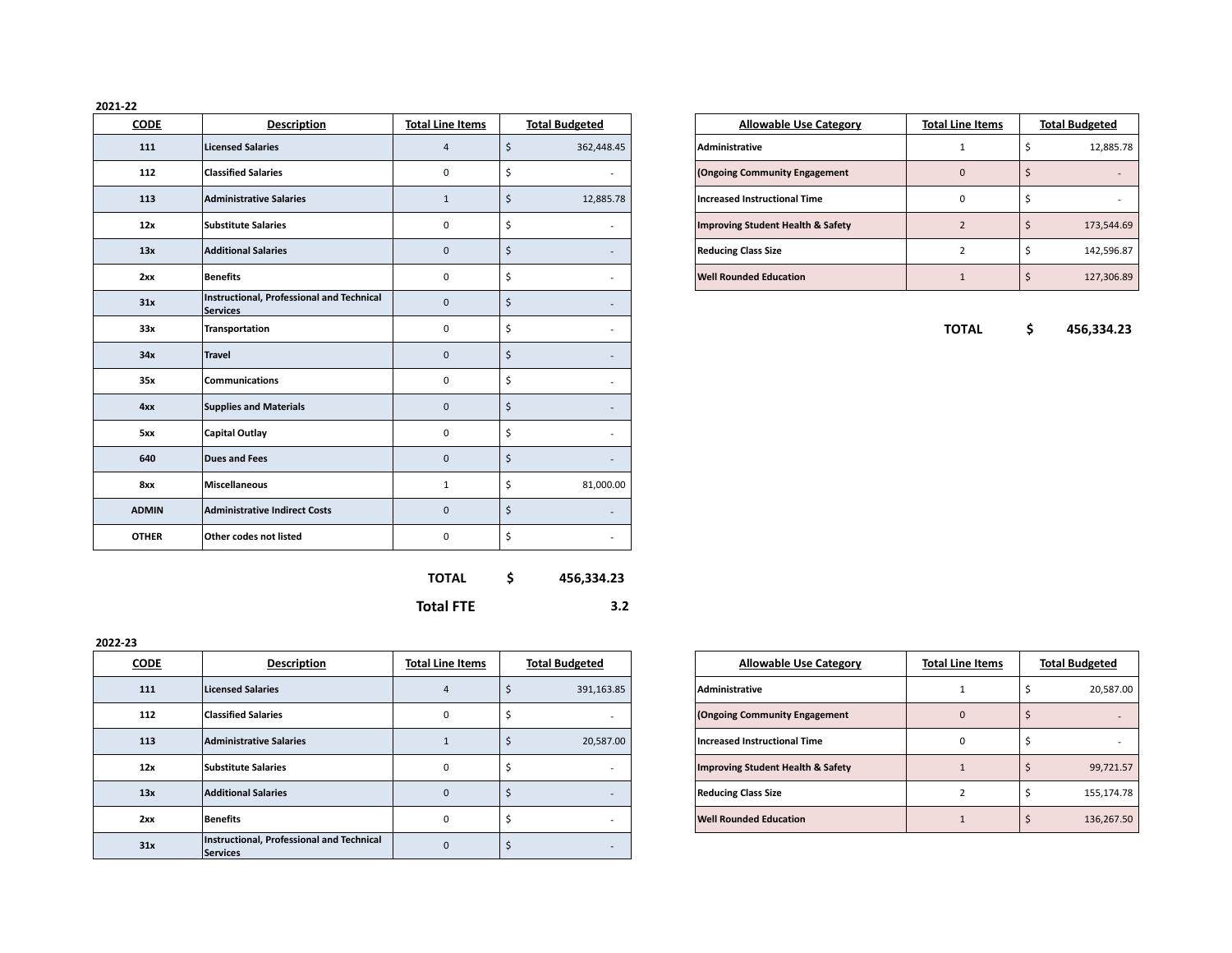# **2021-22**

| <b>CODE</b>  | <b>Description</b>                                           | <b>Total Line Items</b> |                     | <b>Total Budgeted</b> |                                              | <b>Allowable Use Category</b> | <b>Total Line Items</b> |         | <b>Total Budgeted</b> |
|--------------|--------------------------------------------------------------|-------------------------|---------------------|-----------------------|----------------------------------------------|-------------------------------|-------------------------|---------|-----------------------|
| 111          | <b>Licensed Salaries</b>                                     | 4                       | $\mathsf{S}$        | 362,448.45            | Administrative                               |                               | $\mathbf{1}$            | \$      | 12,885.78             |
| 112          | <b>Classified Salaries</b>                                   | 0                       | \$                  | $\sim$                | (Ongoing Community Engagement                |                               | $\mathbf 0$             | $\zeta$ |                       |
| 113          | <b>Administrative Salaries</b>                               | $\mathbf{1}$            | $\ddot{\mathsf{S}}$ | 12,885.78             | <b>Increased Instructional Time</b>          |                               | $\mathbf 0$             | \$      | $\sim$                |
| 12x          | <b>Substitute Salaries</b>                                   | 0                       | \$                  | $\sim$                | <b>Improving Student Health &amp; Safety</b> |                               | $\overline{2}$          | \$      | 173,544.69            |
| 13x          | <b>Additional Salaries</b>                                   | $\mathbf 0$             | \$                  |                       | <b>Reducing Class Size</b>                   |                               | $\overline{2}$          | \$      | 142,596.87            |
| 2xx          | Benefits                                                     | 0                       | \$                  | $\sim$                | <b>Well Rounded Education</b>                |                               | $\mathbf{1}$            | \$      | 127,306.89            |
| 31x          | Instructional, Professional and Technical<br><b>Services</b> | 0                       | $\zeta$             | $\sim$                |                                              |                               |                         |         |                       |
| 33x          | Transportation                                               | 0                       | \$                  | $\sim$                |                                              |                               | <b>TOTAL</b>            | \$      | 456,334.23            |
| 34x          | <b>Travel</b>                                                | 0                       | \$                  | $\sim$                |                                              |                               |                         |         |                       |
| 35x          | Communications                                               | 0                       | \$                  | $\sim$                |                                              |                               |                         |         |                       |
| 4xx          | <b>Supplies and Materials</b>                                | 0                       | $\mathsf{\hat{S}}$  |                       |                                              |                               |                         |         |                       |
| 5xx          | <b>Capital Outlay</b>                                        | 0                       | \$                  | $\sim$                |                                              |                               |                         |         |                       |
| 640          | Dues and Fees                                                | 0                       | $\ddot{\mathsf{S}}$ |                       |                                              |                               |                         |         |                       |
| 8xx          | <b>Miscellaneous</b>                                         | $\mathbf{1}$            | \$                  | 81,000.00             |                                              |                               |                         |         |                       |
| <b>ADMIN</b> | Administrative Indirect Costs                                | 0                       | $\mathsf{\hat{S}}$  | $\sim$                |                                              |                               |                         |         |                       |
| <b>OTHER</b> | Other codes not listed                                       | 0                       | \$                  | $\sim$                |                                              |                               |                         |         |                       |

| <b>Allowable Use Category</b>                | <b>Total Line Items</b> | <b>Total Budgeted</b> |
|----------------------------------------------|-------------------------|-----------------------|
| Administrative                               |                         | 12,885.78             |
| (Ongoing Community Engagement                |                         |                       |
| <b>Increased Instructional Time</b>          |                         |                       |
| <b>Improving Student Health &amp; Safety</b> |                         | 173,544.69            |
| <b>Reducing Class Size</b>                   | っ                       | 142,596.87            |
| <b>Well Rounded Education</b>                |                         | 127,306.89            |

| <b>TOTAL</b>     | Ś | 456,334.23 |
|------------------|---|------------|
| <b>Total FTE</b> |   | 3.2        |

| 2022-23     |                                                       |                         |                          |                |                                              |                         |                       |
|-------------|-------------------------------------------------------|-------------------------|--------------------------|----------------|----------------------------------------------|-------------------------|-----------------------|
| <b>CODE</b> | <b>Description</b>                                    | <b>Total Line Items</b> | <b>Total Budgeted</b>    |                | <b>Allowable Use Category</b>                | <b>Total Line Items</b> | <b>Total Budgeted</b> |
| 111         | <b>Licensed Salaries</b>                              |                         | 391,163.85               | Administrative |                                              |                         | 20,587.00             |
| 112         | <b>Classified Salaries</b>                            | $\Omega$                | $\overline{\phantom{0}}$ |                | (Ongoing Community Engagement                | $\Omega$                |                       |
| 113         | <b>Administrative Salaries</b>                        |                         | 20,587.00                |                | <b>Increased Instructional Time</b>          | $\Omega$                |                       |
| 12x         | <b>Substitute Salaries</b>                            |                         | $\overline{\phantom{a}}$ |                | <b>Improving Student Health &amp; Safety</b> |                         | 99,721.57             |
| 13x         | <b>Additional Salaries</b>                            | 0                       |                          |                | <b>Reducing Class Size</b>                   |                         | 155,174.78            |
| 2xx         | Benefits                                              | $\Omega$                |                          |                | <b>Well Rounded Education</b>                |                         | 136,267.50            |
| 31x         | Instructional, Professional and Technical<br>Services | $\Omega$                |                          |                |                                              |                         |                       |

| <b>Allowable Use Category</b>                | <b>Total Line Items</b> | <b>Total Budgeted</b> |            |
|----------------------------------------------|-------------------------|-----------------------|------------|
| Administrative                               |                         |                       | 20,587.00  |
| (Ongoing Community Engagement                | 0                       | \$                    |            |
| <b>Increased Instructional Time</b>          | 0                       | \$                    |            |
| <b>Improving Student Health &amp; Safety</b> |                         | \$                    | 99,721.57  |
| <b>Reducing Class Size</b>                   |                         |                       | 155,174.78 |
| <b>Well Rounded Education</b>                |                         | \$                    | 136,267.50 |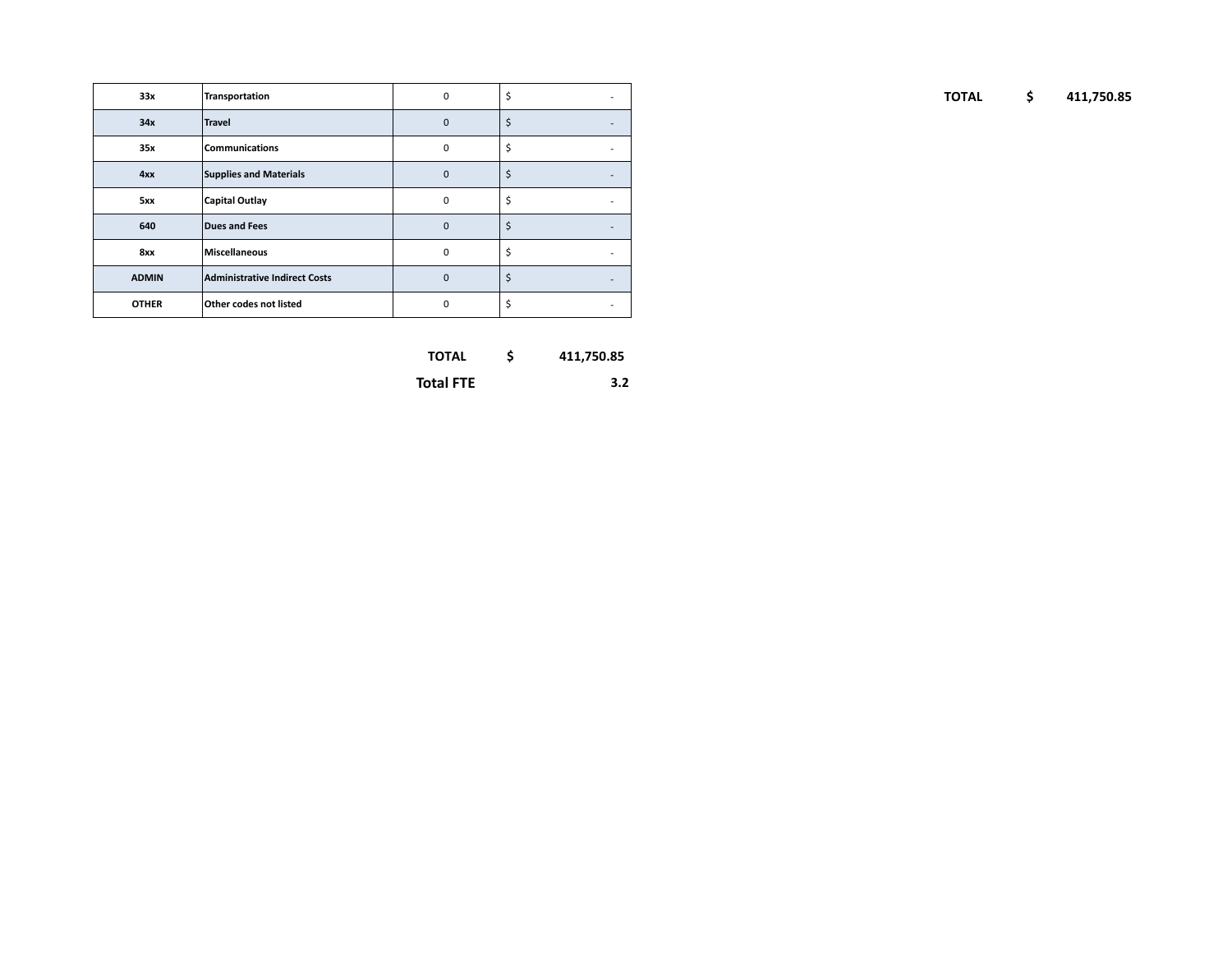| 33x          | Transportation                | $\mathbf 0$ | $\sim$                   |
|--------------|-------------------------------|-------------|--------------------------|
| 34x          | Travel                        | $\mathbf 0$ | $\sim$                   |
| 35x          | Communications                | 0           | $\overline{\phantom{a}}$ |
| 4xx          | Supplies and Materials        | $\mathbf 0$ | $\sim$                   |
| 5xx          | Capital Outlay                | $\mathbf 0$ | $\overline{\phantom{a}}$ |
| 640          | Dues and Fees                 | $\mathbf 0$ | $\sim$                   |
| 8xx          | Miscellaneous                 | $\mathbf 0$ | $\sim$                   |
| <b>ADMIN</b> | Administrative Indirect Costs | $\mathbf 0$ | $\sim$                   |
| <b>OTHER</b> | Other codes not listed        | $\mathbf 0$ | $\overline{\phantom{a}}$ |

| <b>TOTAL</b> |  | 411,750.85 |
|--------------|--|------------|
|--------------|--|------------|

**Total FTE 3.2**